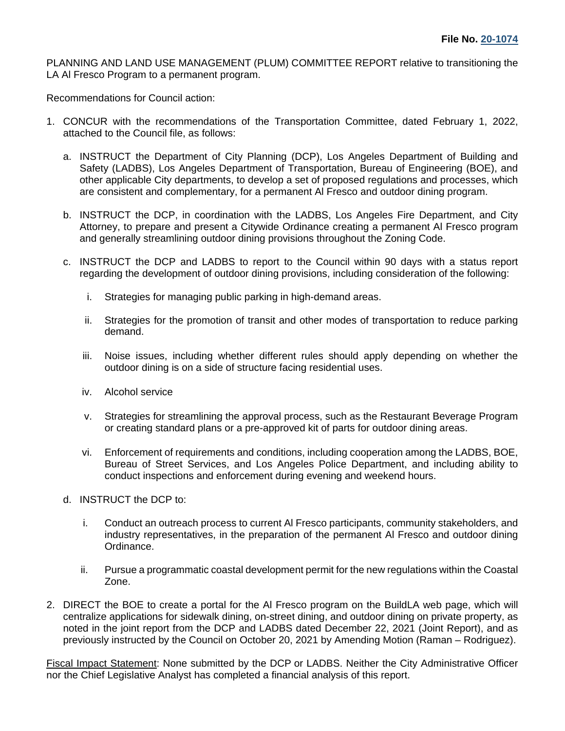PLANNING AND LAND USE MANAGEMENT (PLUM) COMMITTEE REPORT relative to transitioning the LA Al Fresco Program to a permanent program.

Recommendations for Council action:

- 1. CONCUR with the recommendations of the Transportation Committee, dated February 1, 2022, attached to the Council file, as follows:
	- a. INSTRUCT the Department of City Planning (DCP), Los Angeles Department of Building and Safety (LADBS), Los Angeles Department of Transportation, Bureau of Engineering (BOE), and other applicable City departments, to develop a set of proposed regulations and processes, which are consistent and complementary, for a permanent Al Fresco and outdoor dining program.
	- b. INSTRUCT the DCP, in coordination with the LADBS, Los Angeles Fire Department, and City Attorney, to prepare and present a Citywide Ordinance creating a permanent Al Fresco program and generally streamlining outdoor dining provisions throughout the Zoning Code.
	- c. INSTRUCT the DCP and LADBS to report to the Council within 90 days with a status report regarding the development of outdoor dining provisions, including consideration of the following:
		- i. Strategies for managing public parking in high-demand areas.
		- ii. Strategies for the promotion of transit and other modes of transportation to reduce parking demand.
		- iii. Noise issues, including whether different rules should apply depending on whether the outdoor dining is on a side of structure facing residential uses.
		- iv. Alcohol service
		- v. Strategies for streamlining the approval process, such as the Restaurant Beverage Program or creating standard plans or a pre-approved kit of parts for outdoor dining areas.
		- vi. Enforcement of requirements and conditions, including cooperation among the LADBS, BOE, Bureau of Street Services, and Los Angeles Police Department, and including ability to conduct inspections and enforcement during evening and weekend hours.
	- d. INSTRUCT the DCP to:
		- i. Conduct an outreach process to current Al Fresco participants, community stakeholders, and industry representatives, in the preparation of the permanent Al Fresco and outdoor dining Ordinance.
		- ii. Pursue a programmatic coastal development permit for the new regulations within the Coastal Zone.
- 2. DIRECT the BOE to create a portal for the Al Fresco program on the BuildLA web page, which will centralize applications for sidewalk dining, on-street dining, and outdoor dining on private property, as noted in the joint report from the DCP and LADBS dated December 22, 2021 (Joint Report), and as previously instructed by the Council on October 20, 2021 by Amending Motion (Raman – Rodriguez).

Fiscal Impact Statement: None submitted by the DCP or LADBS. Neither the City Administrative Officer nor the Chief Legislative Analyst has completed a financial analysis of this report.